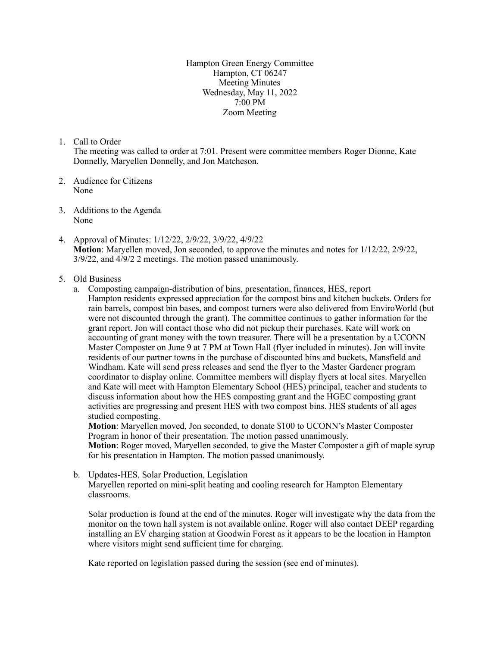Hampton Green Energy Committee Hampton, CT 06247 Meeting Minutes Wednesday, May 11, 2022 7:00 PM Zoom Meeting

1. Call to Order

The meeting was called to order at 7:01. Present were committee members Roger Dionne, Kate Donnelly, Maryellen Donnelly, and Jon Matcheson.

- 2. Audience for Citizens None
- 3. Additions to the Agenda None
- 4. Approval of Minutes: 1/12/22, 2/9/22, 3/9/22, 4/9/22 **Motion**: Maryellen moved, Jon seconded, to approve the minutes and notes for 1/12/22, 2/9/22, 3/9/22, and 4/9/2 2 meetings. The motion passed unanimously.
- 5. Old Business
	- a. Composting campaign-distribution of bins, presentation, finances, HES, report Hampton residents expressed appreciation for the compost bins and kitchen buckets. Orders for rain barrels, compost bin bases, and compost turners were also delivered from EnviroWorld (but were not discounted through the grant). The committee continues to gather information for the grant report. Jon will contact those who did not pickup their purchases. Kate will work on accounting of grant money with the town treasurer. There will be a presentation by a UCONN Master Composter on June 9 at 7 PM at Town Hall (flyer included in minutes). Jon will invite residents of our partner towns in the purchase of discounted bins and buckets, Mansfield and Windham. Kate will send press releases and send the flyer to the Master Gardener program coordinator to display online. Committee members will display flyers at local sites. Maryellen and Kate will meet with Hampton Elementary School (HES) principal, teacher and students to discuss information about how the HES composting grant and the HGEC composting grant activities are progressing and present HES with two compost bins. HES students of all ages studied composting.

**Motion**: Maryellen moved, Jon seconded, to donate \$100 to UCONN's Master Composter Program in honor of their presentation. The motion passed unanimously.

**Motion**: Roger moved, Maryellen seconded, to give the Master Composter a gift of maple syrup for his presentation in Hampton. The motion passed unanimously.

b. Updates-HES, Solar Production, Legislation Maryellen reported on mini-split heating and cooling research for Hampton Elementary classrooms.

Solar production is found at the end of the minutes. Roger will investigate why the data from the monitor on the town hall system is not available online. Roger will also contact DEEP regarding installing an EV charging station at Goodwin Forest as it appears to be the location in Hampton where visitors might send sufficient time for charging.

Kate reported on legislation passed during the session (see end of minutes).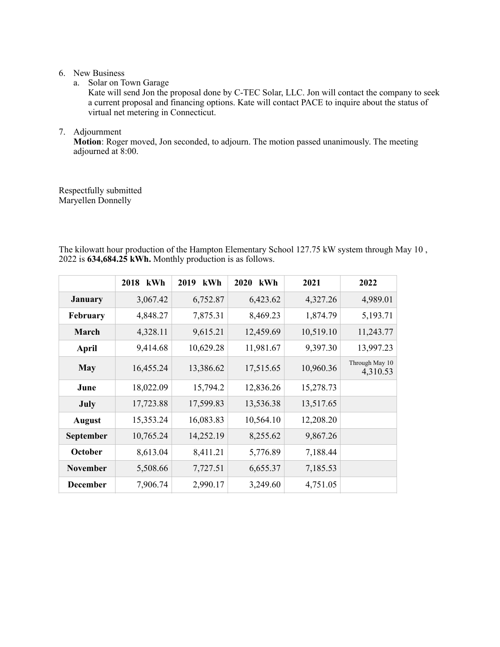## 6. New Business

a. Solar on Town Garage

Kate will send Jon the proposal done by C-TEC Solar, LLC. Jon will contact the company to seek a current proposal and financing options. Kate will contact PACE to inquire about the status of virtual net metering in Connecticut.

## 7. Adjournment

**Motion**: Roger moved, Jon seconded, to adjourn. The motion passed unanimously. The meeting adjourned at 8:00.

Respectfully submitted Maryellen Donnelly

The kilowatt hour production of the Hampton Elementary School 127.75 kW system through May 10 , 2022 is **634,684.25 kWh.** Monthly production is as follows.

|                  | 2018<br>kWh | 2019<br>kWh | 2020<br>kWh | 2021      | 2022                       |
|------------------|-------------|-------------|-------------|-----------|----------------------------|
| <b>January</b>   | 3,067.42    | 6,752.87    | 6,423.62    | 4,327.26  | 4,989.01                   |
| February         | 4,848.27    | 7,875.31    | 8,469.23    | 1,874.79  | 5,193.71                   |
| March            | 4,328.11    | 9,615.21    | 12,459.69   | 10,519.10 | 11,243.77                  |
| <b>April</b>     | 9,414.68    | 10,629.28   | 11,981.67   | 9,397.30  | 13,997.23                  |
| <b>May</b>       | 16,455.24   | 13,386.62   | 17,515.65   | 10,960.36 | Through May 10<br>4,310.53 |
| June             | 18,022.09   | 15,794.2    | 12,836.26   | 15,278.73 |                            |
| <b>July</b>      | 17,723.88   | 17,599.83   | 13,536.38   | 13,517.65 |                            |
| <b>August</b>    | 15,353.24   | 16,083.83   | 10,564.10   | 12,208.20 |                            |
| <b>September</b> | 10,765.24   | 14,252.19   | 8,255.62    | 9,867.26  |                            |
| October          | 8,613.04    | 8,411.21    | 5,776.89    | 7,188.44  |                            |
| <b>November</b>  | 5,508.66    | 7,727.51    | 6,655.37    | 7,185.53  |                            |
| <b>December</b>  | 7,906.74    | 2,990.17    | 3,249.60    | 4,751.05  |                            |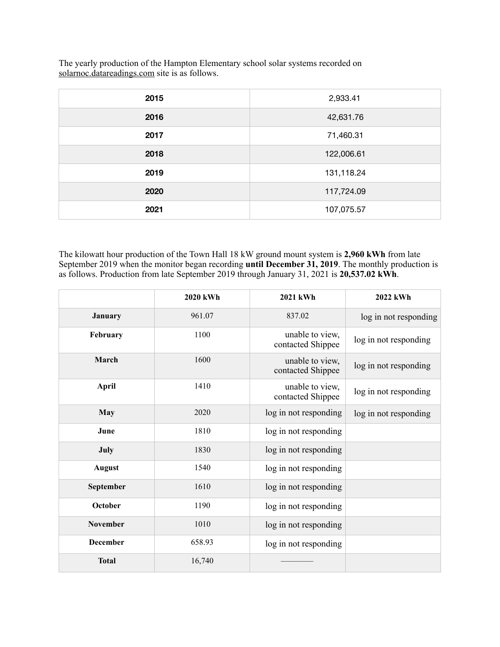The yearly production of the Hampton Elementary school solar systems recorded on solarnoc.datareadings.com site is as follows.

| 2015 | 2,933.41   |
|------|------------|
| 2016 | 42,631.76  |
| 2017 | 71,460.31  |
| 2018 | 122,006.61 |
| 2019 | 131,118.24 |
| 2020 | 117,724.09 |
| 2021 | 107,075.57 |

The kilowatt hour production of the Town Hall 18 kW ground mount system is **2,960 kWh** from late September 2019 when the monitor began recording **until December 31, 2019**. The monthly production is as follows. Production from late September 2019 through January 31, 2021 is **20,537.02 kWh**.

|                 | 2020 kWh | 2021 kWh                             | 2022 kWh              |
|-----------------|----------|--------------------------------------|-----------------------|
| January         | 961.07   | 837.02                               | log in not responding |
| February        | 1100     | unable to view,<br>contacted Shippee | log in not responding |
| March           | 1600     | unable to view,<br>contacted Shippee | log in not responding |
| <b>April</b>    | 1410     | unable to view,<br>contacted Shippee | log in not responding |
| <b>May</b>      | 2020     | log in not responding                | log in not responding |
| June            | 1810     | log in not responding                |                       |
| <b>July</b>     | 1830     | log in not responding                |                       |
| <b>August</b>   | 1540     | log in not responding                |                       |
| September       | 1610     | log in not responding                |                       |
| October         | 1190     | log in not responding                |                       |
| November        | 1010     | log in not responding                |                       |
| <b>December</b> | 658.93   | log in not responding                |                       |
| <b>Total</b>    | 16,740   |                                      |                       |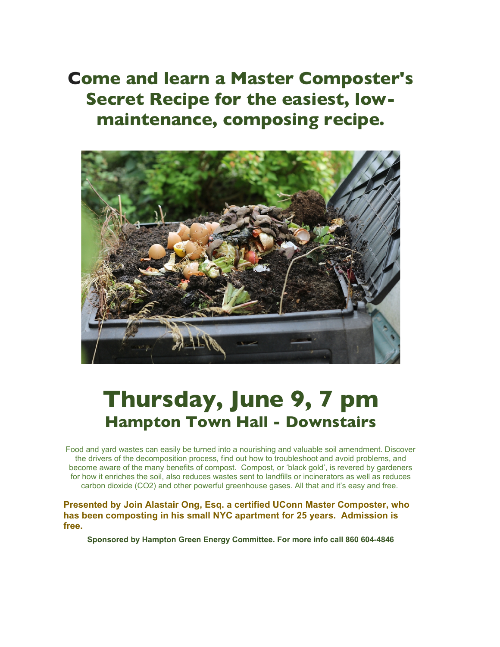**Come and learn a Master Composter's Secret Recipe for the easiest, lowmaintenance, composing recipe.**



## **Thursday, June 9, 7 pm Hampton Town Hall - Downstairs**

Food and yard wastes can easily be turned into a nourishing and valuable soil amendment. Discover the drivers of the decomposition process, find out how to troubleshoot and avoid problems, and become aware of the many benefits of compost. Compost, or 'black gold', is revered by gardeners for how it enriches the soil, also reduces wastes sent to landfills or incinerators as well as reduces carbon dioxide (CO2) and other powerful greenhouse gases. All that and it's easy and free.

**Presented by Join Alastair Ong, Esq. a certified UConn Master Composter, who has been composting in his small NYC apartment for 25 years. Admission is free.**

**Sponsored by Hampton Green Energy Committee. For more info call 860 604-4846**